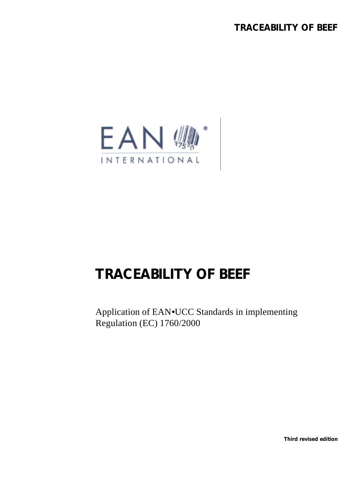

# **TRACEABILITY OF BEEF**

Application of EAN•UCC Standards in implementing Regulation (EC) 1760/2000

**Third revised edition**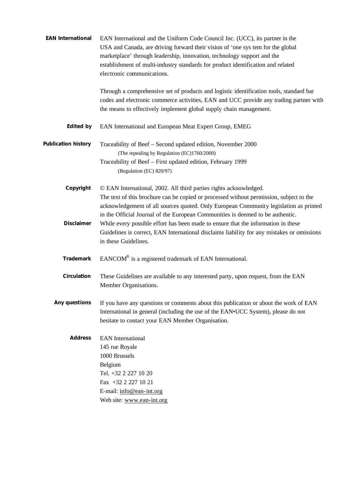| <b>EAN International</b>   | EAN International and the Uniform Code Council Inc. (UCC), its partner in the<br>USA and Canada, are driving forward their vision of 'one sys tem for the global<br>marketplace' through leadership, innovation, technology support and the<br>establishment of multi-industry standards for product identification and related<br>electronic communications. |
|----------------------------|---------------------------------------------------------------------------------------------------------------------------------------------------------------------------------------------------------------------------------------------------------------------------------------------------------------------------------------------------------------|
|                            | Through a comprehensive set of products and logistic identification tools, standard bar<br>codes and electronic commerce activities, EAN and UCC provide any trading partner with<br>the means to effectively implement global supply chain management.                                                                                                       |
| <b>Edited by</b>           | EAN International and European Meat Expert Group, EMEG                                                                                                                                                                                                                                                                                                        |
| <b>Publication history</b> | Traceability of Beef - Second updated edition, November 2000<br>(The repealing by Regulation (EC)1760/2000)<br>Traceability of Beef - First updated edition, February 1999<br>(Regulation (EC) 820/97)                                                                                                                                                        |
| Copyright                  | © EAN International, 2002. All third parties rights acknowledged.<br>The text of this brochure can be copied or processed without permission, subject to the<br>acknowledgement of all sources quoted. Only European Community legislation as printed<br>in the Official Journal of the European Communities is deemed to be authentic.                       |
| Disclaimer                 | While every possible effort has been made to ensure that the information in these<br>Guidelines is correct, EAN International disclaims liability for any mistakes or omissions<br>in these Guidelines.                                                                                                                                                       |
| <b>Trademark</b>           | EANCOM® is a registered trademark of EAN International.                                                                                                                                                                                                                                                                                                       |
| <b>Circulation</b>         | These Guidelines are available to any interested party, upon request, from the EAN<br>Member Organisations.                                                                                                                                                                                                                                                   |
| Any questions              | If you have any questions or comments about this publication or about the work of EAN<br>International in general (including the use of the EAN•UCC System), please do not<br>hesitate to contact your EAN Member Organisation.                                                                                                                               |
| <b>Address</b>             | <b>EAN</b> International<br>145 rue Royale<br>1000 Brussels<br>Belgium<br>Tel. +32 2 227 10 20<br>Fax +32 2 227 10 21<br>E-mail: info@ean-int.org<br>Web site: www.ean-int.org                                                                                                                                                                                |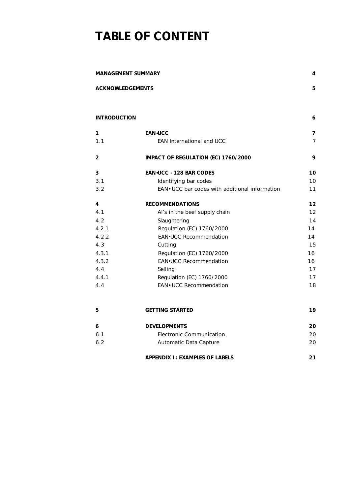# **TABLE OF CONTENT**

| <b>MANAGEMENT SUMMARY</b> |                                                 |                |  |  |
|---------------------------|-------------------------------------------------|----------------|--|--|
| <b>ACKNOWLEDGEMENTS</b>   |                                                 | 5              |  |  |
|                           |                                                 |                |  |  |
| <b>INTRODUCTION</b>       |                                                 | 6              |  |  |
| 1                         | <b>EAN</b> UCC                                  | $\overline{7}$ |  |  |
| 1.1                       | <b>EAN International and UCC</b>                | $\overline{7}$ |  |  |
| $\overline{2}$            | IMPACT OF REGULATION (EC) 1760/2000             | 9              |  |  |
| 3                         | <b>EAN<sup>-</sup>UCC -128 BAR CODES</b>        | 10             |  |  |
| 3.1                       | Identifying bar codes                           | 10             |  |  |
| 3.2                       | EAN . UCC bar codes with additional information |                |  |  |
| 4                         | <b>RECOMMENDATIONS</b>                          | 12             |  |  |
| 4.1                       | Al's in the beef supply chain                   | 12             |  |  |
| 4.2                       | Slaughtering                                    | 14             |  |  |
| 4.2.1                     | Regulation (EC) 1760/2000                       | 14             |  |  |
| 4.2.2                     | <b>EAN•UCC Recommendation</b>                   | 14             |  |  |
| 4.3                       | Cutting                                         |                |  |  |
|                           | 4.3.1<br>Regulation (EC) 1760/2000              |                |  |  |
| 4.3.2                     | <b>EAN•UCC Recommendation</b>                   |                |  |  |
| 4.4                       | Selling                                         |                |  |  |
| 4.4.1                     | Regulation (EC) 1760/2000                       | 17             |  |  |
| 4.4                       | EAN . UCC Recommendation                        | 18             |  |  |
| 5                         | <b>GETTING STARTED</b>                          | 19             |  |  |
| 6                         | <b>DEVELOPMENTS</b>                             | 20             |  |  |
| 6.1                       | <b>Electronic Communication</b>                 | 20             |  |  |
| 6.2                       | Automatic Data Capture                          | 20             |  |  |
|                           | <b>APPENDIX I: EXAMPLES OF LABELS</b>           | 21             |  |  |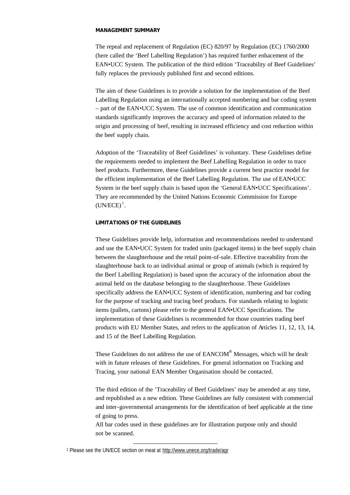#### **MANAGEMENT SUMMARY**

The repeal and replacement of Regulation (EC) 820/97 by Regulation (EC) 1760/2000 (here called the 'Beef Labelling Regulation') has required further enhacement of the EAN•UCC System. The publication of the third edition 'Traceability of Beef Guidelines' fully replaces the previously published first and second editions.

The aim of these Guidelines is to provide a solution for the implementation of the Beef Labelling Regulation using an internationally accepted numbering and bar coding system – part of the EAN•UCC System. The use of common identification and communication standards significantly improves the accuracy and speed of information related to the origin and processing of beef, resulting in increased efficiency and cost reduction within the beef supply chain.

Adoption of the 'Traceability of Beef Guidelines' is voluntary. These Guidelines define the requirements needed to implement the Beef Labelling Regulation in order to trace beef products. Furthermore, these Guidelines provide a current best practice model for the efficient implementation of the Beef Labelling Regulation. The use of EAN•UCC System in the beef supply chain is based upon the 'General EAN•UCC Specifications'. They are recommended by the United Nations Economic Commission for Europe  $(UN/ECE)^1$ .

#### **LIMITATIONS OF THE GUIDELINES**

These Guidelines provide help, information and recommendations needed to understand and use the EAN•UCC System for traded units (packaged items) in the beef supply chain between the slaughterhouse and the retail point-of-sale. Effective traceability from the slaughterhouse back to an individual animal or group of animals (which is required by the Beef Labelling Regulation) is based upon the accuracy of the information about the animal held on the database belonging to the slaughterhouse. These Guidelines specifically address the EAN•UCC System of identification, numbering and bar coding for the purpose of tracking and tracing beef products. For standards relating to logistic items (pallets, cartons) please refer to the general EAN•UCC Specifications. The implementation of these Guidelines is recommended for those countries trading beef products with EU Member States, and refers to the application of Articles 11, 12, 13, 14, and 15 of the Beef Labelling Regulation.

These Guidelines do not address the use of  $EANCOM^{\circledast}$  Messages, which will be dealt with in future releases of these Guidelines. For general information on Tracking and Tracing, your national EAN Member Organisation should be contacted.

The third edition of the 'Traceability of Beef Guidelines' may be amended at any time, and republished as a new edition. These Guidelines are fully consistent with commercial and inter-governmental arrangements for the identification of beef applicable at the time of going to press.

All bar codes used in these guidelines are for illustration purpose only and should not be scanned.

<sup>1</sup> Please see the UN/ECE section on meat at http://www.unece.org/trade/agr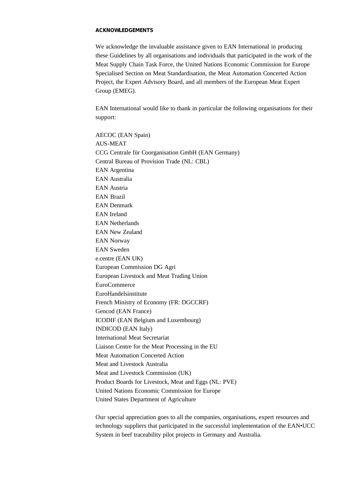#### **ACKNOWLEDGEMENTS**

We acknowledge the invaluable assistance given to EAN International in producing these Guidelines by all organisations and individuals that participated in the work of the Meat Supply Chain Task Force, the United Nations Economic Commission for Europe Specialised Section on Meat Standardisation, the Meat Automation Concerted Action Project, the Expert Advisory Board, and all members of the European Meat Expert Group (EMEG).

EAN International would like to thank in particular the following organisations for their support:

AECOC (EAN Spain) AUS-MEAT CCG Centrale für Coorganisation GmbH (EAN Germany) Central Bureau of Provision Trade (NL: CBL) EAN Argentina EAN Australia EAN Austria EAN Brazil EAN Denmark EAN Ireland EAN Netherlands EAN New Zealand EAN Norway EAN Sweden e.centre (EAN UK) European Commission DG Agri European Livestock and Meat Trading Union EuroCommerce EuroHandelsinstitute French Ministry of Economy (FR: DGCCRF) Gencod (EAN France) ICODIF (EAN Belgium and Luxembourg) INDICOD (EAN Italy) International Meat Secretariat Liaison Centre for the Meat Processing in the EU Meat Automation Concerted Action Meat and Livestock Australia Meat and Livestock Commission (UK) Product Boards for Livestock, Meat and Eggs (NL: PVE) United Nations Economic Commission for Europe United States Department of Agriculture

Our special appreciation goes to all the companies, organisations, expert resources and technology suppliers that participated in the successful implementation of the EAN•UCC System in beef traceability pilot projects in Germany and Australia.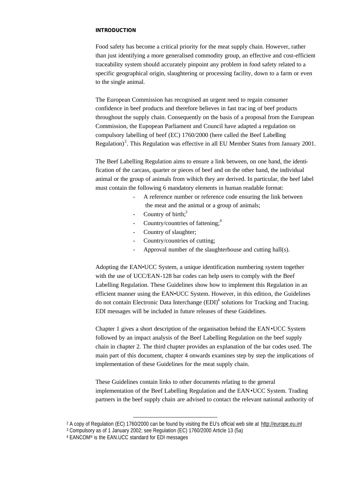### **INTRODUCTION**

Food safety has become a critical priority for the meat supply chain. However, rather than just identifying a more generalised commodity group, an effective and cost-efficient traceability system should accurately pinpoint any problem in food safety related to a specific geographical origin, slaughtering or processing facility, down to a farm or even to the single animal.

The European Commission has recognised an urgent need to regain consumer confidence in beef products and therefore believes in fast trac ing of beef products throughout the supply chain. Consequently on the basis of a proposal from the European Commission, the Eupopean Parliament and Council have adapted a regulation on compulsory labelling of beef (EC) 1760/2000 (here called the Beef Labelling Regulation)<sup>2</sup>. This Regulation was effective in all EU Member States from January 2001.

The Beef Labelling Regulation aims to ensure a link between, on one hand, the identification of the carcass, quarter or pieces of beef and on the other hand, the individual animal or the group of animals from wihich they are derived. In particular, the beef label must contain the following 6 mandatory elements in human readable format:

- A reference number or reference code ensuring the link between the meat and the animal or a group of animals;
- Country of birth; $3$
- Country/countries of fattening; $<sup>4</sup>$ </sup>
- Country of slaughter;
- Country/countries of cutting;
- Approval number of the slaughterhouse and cutting hall(s).

Adopting the EAN•UCC System, a unique identification numbering system together with the use of UCC/EAN-128 bar codes can help users to comply with the Beef Labelling Regulation. These Guidelines show how to implement this Regulation in an efficient manner using the EAN•UCC System. However, in this edition, the Guidelines do not contain Electronic Data Interchange  $(EDI)^4$  solutions for Tracking and Tracing. EDI messages will be included in future releases of these Guidelines.

Chapter 1 gives a short description of the organisation behind the EAN•UCC System followed by an impact analysis of the Beef Labelling Regulation on the beef supply chain in chapter 2. The third chapter provides an explanation of the bar codes used. The main part of this document, chapter 4 onwards examines step by step the implications of implementation of these Guidelines for the meat supply chain.

These Guidelines contain links to other documents relating to the general implementation of the Beef Labelling Regulation and the EAN•UCC System. Trading partners in the beef supply chain are advised to contact the relevant national authority of

<sup>2</sup> A copy of Regulation (EC) 1760/2000 can be found by visiting the EU's official web site at http://europe.eu.int

<sup>3</sup> Compulsory as of 1 January 2002; see Regulation (EC) 1760/2000 Article 13 (5a)

<sup>4</sup> EANCOM® is the EAN.UCC standard for EDI messages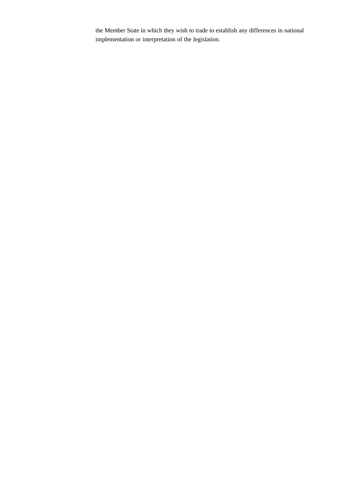the Member State in which they wish to trade to establish any differences in national implementation or interpretation of the legislation.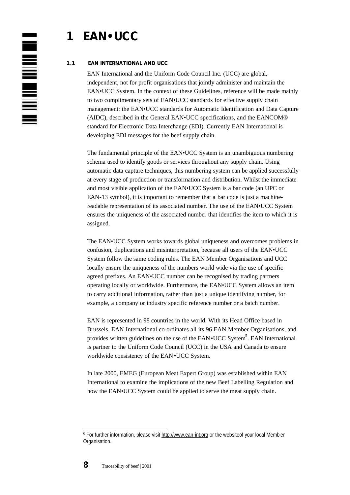# **1 EAN•UCC**

### **1.1 EAN INTERNATIONAL AND UCC**

EAN International and the Uniform Code Council Inc. (UCC) are global, independent, not for profit organisations that jointly administer and maintain the EAN•UCC System. In the context of these Guidelines, reference will be made mainly to two complimentary sets of EAN•UCC standards for effective supply chain management: the EAN•UCC standards for Automatic Identification and Data Capture (AIDC), described in the General EAN•UCC specifications, and the EANCOM® standard for Electronic Data Interchange (EDI). Currently EAN International is developing EDI messages for the beef supply chain.

The fundamental principle of the EAN•UCC System is an unambiguous numbering schema used to identify goods or services throughout any supply chain. Using automatic data capture techniques, this numbering system can be applied successfully at every stage of production or transformation and distribution. Whilst the immediate and most visible application of the EAN•UCC System is a bar code (an UPC or EAN-13 symbol), it is important to remember that a bar code is just a machinereadable representation of its associated number. The use of the EAN•UCC System ensures the uniqueness of the associated number that identifies the item to which it is assigned.

The EAN•UCC System works towards global uniqueness and overcomes problems in confusion, duplications and misinterpretation, because all users of the EAN•UCC System follow the same coding rules. The EAN Member Organisations and UCC locally ensure the uniqueness of the numbers world wide via the use of specific agreed prefixes. An EAN•UCC number can be recognised by trading partners operating locally or worldwide. Furthermore, the EAN•UCC System allows an item to carry additional information, rather than just a unique identifying number, for example, a company or industry specific reference number or a batch number.

EAN is represented in 98 countries in the world. With its Head Office based in Brussels, EAN International co-ordinates all its 96 EAN Member Organisations, and provides written guidelines on the use of the EAN • UCC System<sup>5</sup>. EAN International is partner to the Uniform Code Council (UCC) in the USA and Canada to ensure worldwide consistency of the EAN•UCC System.

In late 2000, EMEG (European Meat Expert Group) was established within EAN International to examine the implications of the new Beef Labelling Regulation and how the EAN•UCC System could be applied to serve the meat supply chain.



<sup>5</sup> For further information, please visit http://www.ean-int.org or the websiteof your local Memb er Organisation.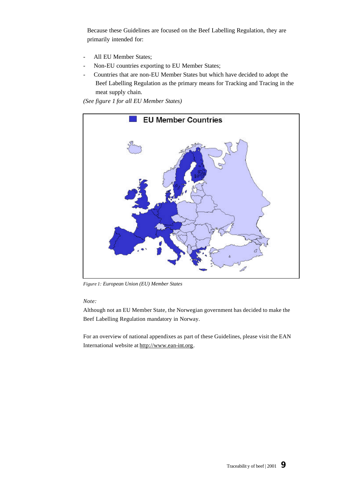Because these Guidelines are focused on the Beef Labelling Regulation, they are primarily intended for:

- All EU Member States;
- Non-EU countries exporting to EU Member States;
- Countries that are non-EU Member States but which have decided to adopt the Beef Labelling Regulation as the primary means for Tracking and Tracing in the meat supply chain.

*(See figure 1 for all EU Member States)* 



*Figure 1: European Union (EU) Member States*

*Note:*

Although not an EU Member State, the Norwegian government has decided to make the Beef Labelling Regulation mandatory in Norway.

For an overview of national appendixes as part of these Guidelines, please visit the EAN International website at http://www.ean-int.org.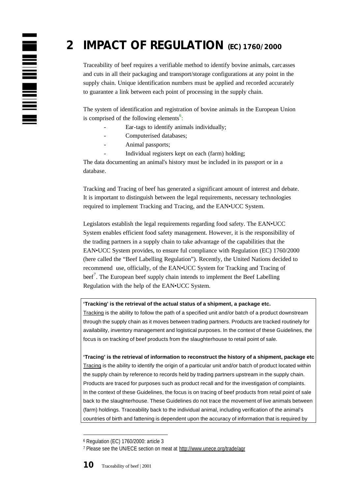# **2 IMPACT OF REGULATION (EC) 1760/2000**

Traceability of beef requires a verifiable method to identify bovine animals, carcasses and cuts in all their packaging and transport/storage configurations at any point in the supply chain. Unique identification numbers must be applied and recorded accurately to guarantee a link between each point of processing in the supply chain.

The system of identification and registration of bovine animals in the European Union is comprised of the following elements<sup>6</sup>:

- Ear-tags to identify animals individually;
- Computerised databases;
- Animal passports;

N NH NH NH

Individual registers kept on each (farm) holding;

The data documenting an animal's history must be included in its passport or in a database.

Tracking and Tracing of beef has generated a significant amount of interest and debate. It is important to distinguish between the legal requirements, necessary technologies required to implement Tracking and Tracing, and the EAN•UCC System.

Legislators establish the legal requirements regarding food safety. The EAN•UCC System enables efficient food safety management. However, it is the responsibility of the trading partners in a supply chain to take advantage of the capabilities that the EAN•UCC System provides, to ensure ful compliance with Regulation (EC) 1760/2000 (here called the "Beef Labelling Regulation"). Recently, the United Nations decided to recommend use, officially, of the EAN•UCC System for Tracking and Tracing of beef<sup>7</sup>. The European beef supply chain intends to implement the Beef Labelling Regulation with the help of the EAN•UCC System.

#### **'Tracking' is the retrieval of the actual status of a shipment, a package etc.**

Tracking is the ability to follow the path of a specified unit and/or batch of a product downstream through the supply chain as it moves between trading partners. Products are tracked routinely for availability, inventory management and logistical purposes. In the context of these Guidelines, the focus is on tracking of beef products from the slaughterhouse to retail point of sale.

**'Tracing' is the retrieval of information to reconstruct the history of a shipment, package etc** Tracing is the ability to identify the origin of a particular unit and/or batch of product located within the supply chain by reference to records held by trading partners upstream in the supply chain. Products are traced for purposes such as product recall and for the investigation of complaints. In the context of these Guidelines, the focus is on tracing of beef products from retail point of sale back to the slaughterhouse. These Guidelines do not trace the movement of live animals between (farm) holdings. Traceability back to the individual animal, including verification of the animal's countries of birth and fattening is dependent upon the accuracy of information that is required by

<sup>6</sup> Regulation (EC) 1760/2000: article 3

<sup>7</sup> Please see the UN/ECE section on meat at http://www.unece.org/trade/agr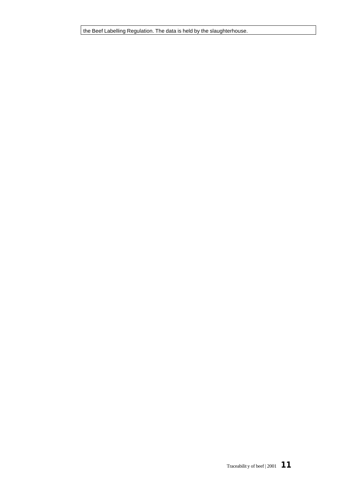the Beef Labelling Regulation. The data is held by the slaughterhouse.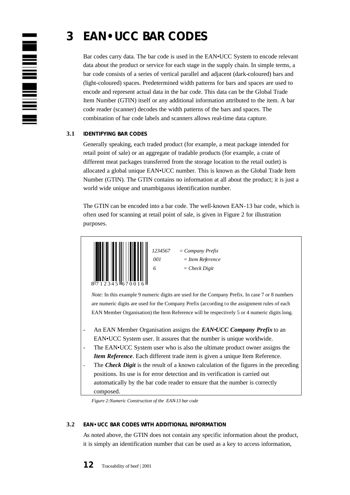

# **3 EAN•UCC BAR CODES**

Bar codes carry data. The bar code is used in the EAN•UCC System to encode relevant data about the product or service for each stage in the supply chain. In simple terms, a bar code consists of a series of vertical parallel and adjacent (dark-coloured) bars and (light-coloured) spaces. Predetermined width patterns for bars and spaces are used to encode and represent actual data in the bar code. This data can be the Global Trade Item Number (GTIN) itself or any additional information attributed to the item. A bar code reader (scanner) decodes the width patterns of the bars and spaces. The combination of bar code labels and scanners allows real-time data capture.

# **3.1 IDENTIFYING BAR CODES**

Generally speaking, each traded product (for example, a meat package intended for retail point of sale) or an aggregate of tradable products (for example, a crate of different meat packages transferred from the storage location to the retail outlet) is allocated a global unique EAN•UCC number. This is known as the Global Trade Item Number (GTIN). The GTIN contains no information at all about the product; it is just a world wide unique and unambiguous identification number.

The GTIN can be encoded into a bar code. The well-known EAN-13 bar code, which is often used for scanning at retail point of sale, is given in Figure 2 for illustration purposes.



 *87 1234567 = Company Prefix 001 = Item Reference*  $6 = Check Digit$ 

*Note:* In this example 9 numeric digits are used for the Company Prefix. In case 7 or 8 numbers are numeric digits are used for the Company Prefix (according to the assignment rules of each EAN Member Organisation) the Item Reference will be respectively 5 or 4 numeric digits long.

- An EAN Member Organisation assigns the *EAN*•*UCC Company Prefix* to an EAN•UCC System user. It assures that the number is unique worldwide.
- The EAN•UCC System user who is also the ultimate product owner assigns the *Item Reference*. Each different trade item is given a unique Item Reference.
- The *Check Digit* is the result of a known calculation of the figures in the preceding positions. Its use is for error detection and its verification is carried out automatically by the bar code reader to ensure that the number is correctly composed.

*Figure 2:Numeric Construction of the EAN-13 bar code*

# **3.2 EAN•UCC BAR CODES WITH ADDITIONAL INFORMATION**

As noted above, the GTIN does not contain any specific information about the product, it is simply an identification number that can be used as a key to access information,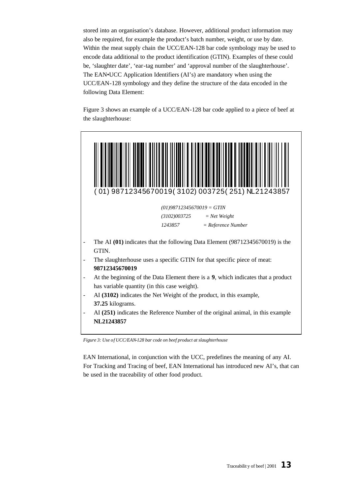stored into an organisation's database. However, additional product information may also be required, for example the product's batch number, weight, or use by date. Within the meat supply chain the UCC/EAN-128 bar code symbology may be used to encode data additional to the product identification (GTIN). Examples of these could be, 'slaughter date', 'ear-tag number' and 'approval number of the slaughterhouse'. The EAN•UCC Application Identifiers (AI's) are mandatory when using the UCC/EAN-128 symbology and they define the structure of the data encoded in the following Data Element:

Figure 3 shows an example of a UCC/EAN-128 bar code applied to a piece of beef at the slaughterhouse:



*Figure 3: Use of UCC/EAN-128 bar code on beef product at slaughterhouse*

EAN International, in conjunction with the UCC, predefines the meaning of any AI. For Tracking and Tracing of beef, EAN International has introduced new AI's, that can be used in the traceability of other food product.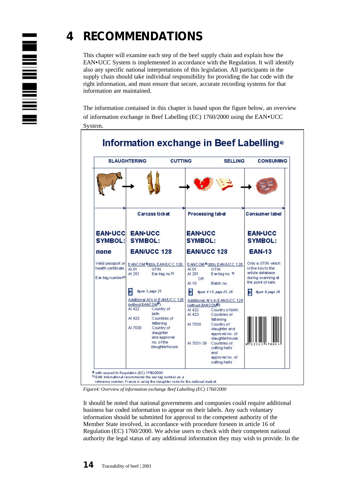

# **4 RECOMMENDATIONS**

This chapter will examine each step of the beef supply chain and explain how the EAN•UCC System is implemented in accordance with the Regulation. It will identify also any specific national interpretations of this legislation. All participants in the supply chain should take individual responsibility for providing the bar code with the right information, and must ensure that secure, accurate recording systems for that information are maintained.

The information contained in this chapter is based upon the figure below, an overview of information exchange in Beef Labelling (EC) 1760/2000 using the EAN•UCC System.



*Figure4: Overview of information exchange Beef Labelling (EC) 1760/2000*

It should be noted that national governments and companies could require additional business bar coded information to appear on their labels. Any such voluntary information should be submitted for approval to the competent authority of the Member State involved, in accordance with procedure forseen in article 16 of Regulation (EC) 1760/2000. We advise users to check with their competent national authority the legal status of any additional information they may wish to provide. In the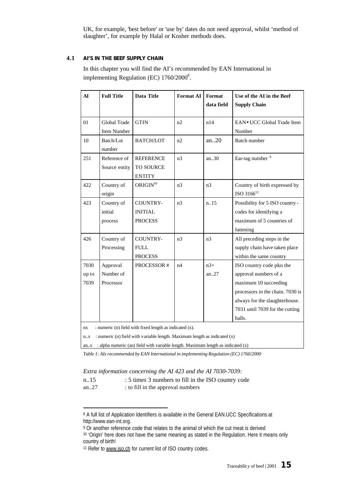UK, for example, 'best before' or 'use by' dates do not need approval, whilst 'method of slaughter', for example by Halal or Kosher methods does.

#### **4.1 AI'S IN THE BEEF SUPPLY CHAIN**

In this chapter you will find the AI's recommended by EAN International in implementing Regulation (EC)  $1760/2000^8$ .

| $\mathbf{A}$                                                                                                                                      | <b>Full Title</b>                  | <b>Data Title</b>                                   | <b>Format AI</b> | Format<br>data field | Use of the AI in the Beef<br><b>Supply Chain</b>                                                                                                                                               |
|---------------------------------------------------------------------------------------------------------------------------------------------------|------------------------------------|-----------------------------------------------------|------------------|----------------------|------------------------------------------------------------------------------------------------------------------------------------------------------------------------------------------------|
| 01                                                                                                                                                | Global Trade<br>Item Number        | <b>GTIN</b>                                         | n2               | n14                  | EAN • UCC Global Trade Item<br>Number                                                                                                                                                          |
| 10                                                                                                                                                | Batch/Lot<br>number                | <b>BATCH/LOT</b>                                    | n2               | an.20                | <b>Batch number</b>                                                                                                                                                                            |
| 251                                                                                                                                               | Reference of<br>Source entity      | <b>REFERENCE</b><br>TO SOURCE<br><b>ENTITY</b>      | n <sub>3</sub>   | an.30                | Ear-tag number <sup>9</sup>                                                                                                                                                                    |
| 422                                                                                                                                               | Country of<br>origin               | ORIGIN <sup>10</sup>                                | n <sub>3</sub>   | n <sub>3</sub>       | Country of birth expressed by<br>ISO 3166 <sup>11</sup>                                                                                                                                        |
| 423                                                                                                                                               | Country of<br>initial<br>process   | <b>COUNTRY-</b><br><b>INITIAL</b><br><b>PROCESS</b> | n <sub>3</sub>   | n.15                 | Possibility for 5 ISO country -<br>codes for identifying a<br>maximum of 5 countries of<br>fattening                                                                                           |
| 426                                                                                                                                               | Country of<br>Processing           | <b>COUNTRY-</b><br><b>FULL</b><br><b>PROCESS</b>    | n <sub>3</sub>   | n <sub>3</sub>       | All preceding steps in the<br>supply chain have taken place<br>within the same country                                                                                                         |
| 7030<br>up to<br>7039                                                                                                                             | Approval<br>Number of<br>Processor | PROCESSOR#                                          | n4               | $n3+$<br>an27        | ISO country code plus the<br>approval numbers of a<br>maximum 10 succeeding<br>processors in the chain. 7030 is<br>always for the slaughterhouse.<br>7031 until 7039 for the cutting<br>halls. |
| : numeric (n) field with fixed length as indicated (x).<br>nx<br>: numeric (n) field with variable length. Maximum length as indicated (x)<br>n.x |                                    |                                                     |                  |                      |                                                                                                                                                                                                |

an..x : alpha numeric (an) field with variable length. Maximum length as indicated  $(x)$ 

*Table 1: AIs recommended by EAN International in implementing Regulation (EC) 1760/2000*

*Extra information concerning the AI 423 and the AI 7030-7039:*

| : 5 times 3 numbers to fill in the ISO country code<br>n15 |
|------------------------------------------------------------|
|                                                            |
|                                                            |
|                                                            |

```
an..27 : to fill in the approval numbers
```
<sup>8</sup> A full list of Application Identifiers is available in the General EAN.UCC Specifications at http://www.ean-int.org.

<sup>9</sup> Or another reference code that relates to the animal of which the cut meat is derived <sup>10</sup> 'Origin' here does not have the same meaning as stated in the Regulation. Here it means only country of birth!

<sup>&</sup>lt;sup>11</sup> Refer to www.iso.ch for current list of ISO country codes.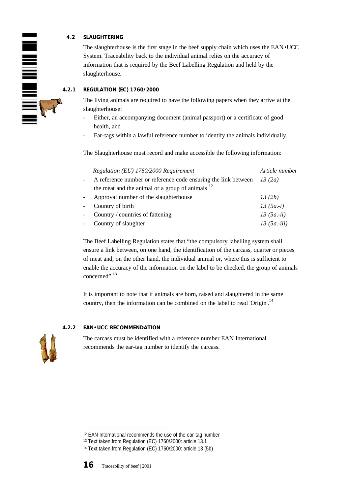### **4.2 SLAUGHTERING**

The slaughterhouse is the first stage in the beef supply chain which uses the EAN • UCC System. Traceability back to the individual animal relies on the accuracy of information that is required by the Beef Labelling Regulation and held by the slaughterhouse.

### **4.2.1 REGULATION (EC) 1760/2000**

The living animals are required to have the following papers when they arrive at the slaughterhouse:

- Either, an accompanying document (animal passport) or a certificate of good health, and
- Ear-tags within a lawful reference number to identify the animals individually.

The Slaughterhouse must record and make accessible the following information:

|                | Regulation (EU) 1760/2000 Requirement                                   | Article number |
|----------------|-------------------------------------------------------------------------|----------------|
|                | A reference number or reference code ensuring the link between $13(2a)$ |                |
|                | the meat and the animal or a group of animals $^{12}$                   |                |
| $\overline{a}$ | Approval number of the slaughterhouse                                   | 13(2b)         |
|                | - Country of birth                                                      | 13 $(5a - i)$  |
|                | - Country / countries of fattening                                      | $13(5a - ii)$  |
|                | - Country of slaughter                                                  | $13(5a-iii)$   |

The Beef Labelling Regulation states that "the compulsory labelling system shall ensure a link between, on one hand, the identification of the carcass, quarter or pieces of meat and, on the other hand, the individual animal or, where this is sufficient to enable the accuracy of the information on the label to be checked, the group of animals concerned".<sup>13</sup>

It is important to note that if animals are born, raised and slaughtered in the same country, then the information can be combined on the label to read 'Origin'.<sup>14</sup>

# **4.2.2 EAN•UCC RECOMMENDATION**



The carcass must be identified with a reference number EAN International recommends the ear-tag number to identify the carcass.



<sup>12</sup> EAN International recommends the use of the ear-tag number

<sup>13</sup> Text taken from Regulation (EC) 1760/2000: article 13.1

<sup>14</sup> Text taken from Regulation (EC) 1760/2000: article 13 (5b)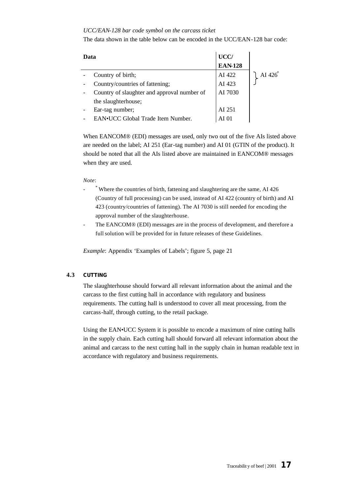#### *UCC/EAN-128 bar code symbol on the carcass ticket*

The data shown in the table below can be encoded in the UCC/EAN-128 bar code:

| UCC/<br>Data                                |                |                |
|---------------------------------------------|----------------|----------------|
|                                             | <b>EAN-128</b> |                |
| Country of birth;                           | AI 422         | AI $426^\circ$ |
| Country/countries of fattening;             | AI 423         |                |
| Country of slaughter and approval number of | AI 7030        |                |
| the slaughterhouse;                         |                |                |
| Ear-tag number;                             | AI 251         |                |
| EAN.UCC Global Trade Item Number.           |                |                |

When EANCOM® (EDI) messages are used, only two out of the five AIs listed above are needed on the label; AI 251 (Ear-tag number) and AI 01 (GTIN of the product). It should be noted that all the AIs listed above are maintained in EANCOM® messages when they are used.

#### *Note*:

- \* Where the countries of birth, fattening and slaughtering are the same, AI 426 (Country of full processing) can be used, instead of AI 422 (country of birth) and AI 423 (country/countries of fattening). The AI 7030 is still needed for encoding the approval number of the slaughterhouse.
- The EANCOM® (EDI) messages are in the process of development, and therefore a full solution will be provided for in future releases of these Guidelines.

*Example*: Appendix 'Examples of Labels'; figure 5, page 21

#### **4.3 CUTTING**

The slaughterhouse should forward all relevant information about the animal and the carcass to the first cutting hall in accordance with regulatory and business requirements. The cutting hall is understood to cover all meat processing, from the carcass-half, through cutting, to the retail package.

Using the EAN•UCC System it is possible to encode a maximum of nine cutting halls in the supply chain. Each cutting hall should forward all relevant information about the animal and carcass to the next cutting hall in the supply chain in human readable text in accordance with regulatory and business requirements.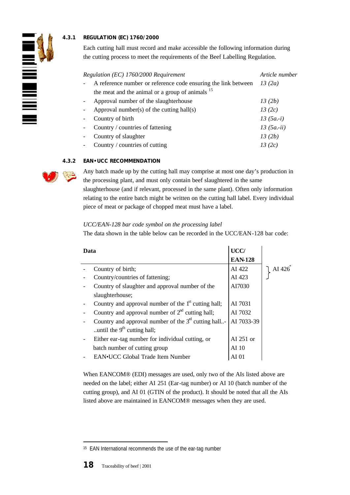# **4.3.1 REGULATION (EC) 1760/2000**

Each cutting hall must record and make accessible the following information during the cutting process to meet the requirements of the Beef Labelling Regulation.

| Regulation (EC) 1760/2000 Requirement                          | Article number |
|----------------------------------------------------------------|----------------|
| A reference number or reference code ensuring the link between | 13(2a)         |
| the meat and the animal or a group of animals $15$             |                |
| Approval number of the slaughterhouse                          | 13(2b)         |
| Approval number(s) of the cutting hall(s)                      | 13(2c)         |
| Country of birth                                               | $13(5a-i)$     |
| Country / countries of fattening                               | $13(5a - ii)$  |
| Country of slaughter                                           | 13(2b)         |
| Country / countries of cutting                                 | 13(2c)         |

#### **4.3.2 EAN•UCC RECOMMENDATION**



**THE MILLER** 

Any batch made up by the cutting hall may comprise at most one day's production in the processing plant, and must only contain beef slaughtered in the same slaughterhouse (and if relevant, processed in the same plant). Often only information relating to the entire batch might be written on the cutting hall label. Every individual piece of meat or package of chopped meat must have a label.

#### *UCC/EAN-128 bar code symbol on the processing label*

The data shown in the table below can be recorded in the UCC/EAN-128 bar code:

| Data |                                                                  | UCC/           |          |
|------|------------------------------------------------------------------|----------------|----------|
|      |                                                                  | <b>EAN-128</b> |          |
|      | Country of birth;                                                | AI 422         | AI $426$ |
|      | Country/countries of fattening;                                  | AI 423         |          |
|      | Country of slaughter and approval number of the                  | AI7030         |          |
|      | slaughterhouse;                                                  |                |          |
|      | Country and approval number of the 1 <sup>st</sup> cutting hall; | AI 7031        |          |
|      | Country and approval number of $2nd$ cutting hall;               | AI 7032        |          |
|      | Country and approval number of the $3nt$ cutting hall-           | AI 7033-39     |          |
|      | until the $9th$ cutting hall;                                    |                |          |
|      | Either ear-tag number for individual cutting, or                 | AI $251$ or    |          |
|      | batch number of cutting group                                    | AI 10          |          |
|      | EAN•UCC Global Trade Item Number                                 |                |          |

When EANCOM® (EDI) messages are used, only two of the AIs listed above are needed on the label; either AI 251 (Ear-tag number) or AI 10 (batch number of the cutting group), and AI 01 (GTIN of the product). It should be noted that all the AIs listed above are maintained in EANCOM® messages when they are used.

<sup>15</sup> EAN International recommends the use of the ear-tag number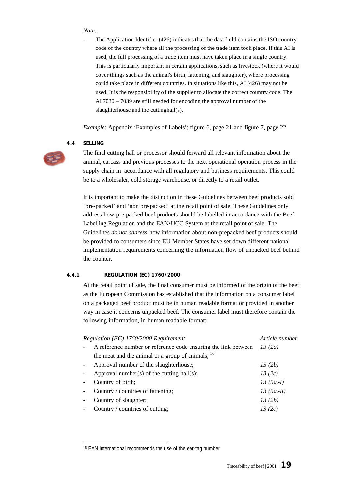#### *Note:*

The Application Identifier  $(426)$  indicates that the data field contains the ISO country code of the country where all the processing of the trade item took place. If this AI is used, the full processing of a trade item must have taken place in a single country. This is particularly important in certain applications, such as livestock (where it would cover things such as the animal's birth, fattening, and slaughter), where processing could take place in different countries. In situations like this, AI (426) may not be used. It is the responsibility of the supplier to allocate the correct country code. The AI 7030 – 7039 are still needed for encoding the approval number of the slaughterhouse and the cuttinghall(s).

*Example*: Appendix 'Examples of Labels'; figure 6, page 21 and figure 7, page 22

#### **4.4 SELLING**

 $\overline{a}$ 



The final cutting hall or processor should forward all relevant information about the animal, carcass and previous processes to the next operational operation process in the supply chain in accordance with all regulatory and business requirements. This could be to a wholesaler, cold storage warehouse, or directly to a retail outlet.

It is important to make the distinction in these Guidelines between beef products sold 'pre-packed' and 'non pre-packed' at the retail point of sale. These Guidelines only address how pre-packed beef products should be labelled in accordance with the Beef Labelling Regulation and the EAN•UCC System at the retail point of sale. The Guidelines *do not address* how information about non-prepacked beef products should be provided to consumers since EU Member States have set down different national implementation requirements concerning the information flow of unpacked beef behind the counter.

#### **4.4.1 REGULATION (EC) 1760/2000**

At the retail point of sale, the final consumer must be informed of the origin of the beef as the European Commission has established that the information on a consumer label on a packaged beef product must be in human readable format or provided in another way in case it concerns unpacked beef. The consumer label must therefore contain the following information, in human readable format:

| Regulation (EC) 1760/2000 Requirement                          | Article number |
|----------------------------------------------------------------|----------------|
| A reference number or reference code ensuring the link between | 13(2a)         |
| the meat and the animal or a group of animals; $^{16}$         |                |
| Approval number of the slaughterhouse;                         | 13(2b)         |
| Approval number(s) of the cutting hall(s);                     | 13(2c)         |
| Country of birth;                                              | $13(5a-i)$     |
| Country / countries of fattening;                              | $13(5a - ii)$  |
| Country of slaughter;                                          | 13(2b)         |
| Country / countries of cutting;                                | 13 (2c)        |
|                                                                |                |

<sup>16</sup> EAN International recommends the use of the ear-tag number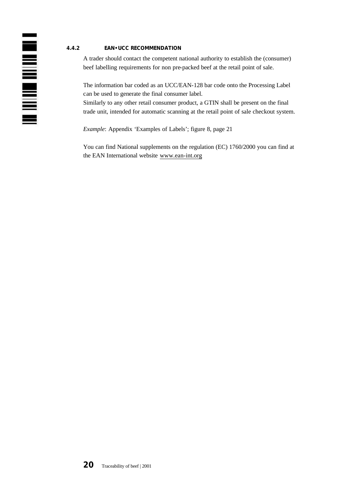### **4.4.2 EAN•UCC RECOMMENDATION**

A trader should contact the competent national authority to establish the (consumer) beef labelling requirements for non pre-packed beef at the retail point of sale.

The information bar coded as an UCC/EAN-128 bar code onto the Processing Label can be used to generate the final consumer label.

Similarly to any other retail consumer product, a GTIN shall be present on the final trade unit, intended for automatic scanning at the retail point of sale checkout system.

*Example*: Appendix 'Examples of Labels'; figure 8, page 21

You can find National supplements on the regulation (EC) 1760/2000 you can find at the EAN International website www.ean-int.org



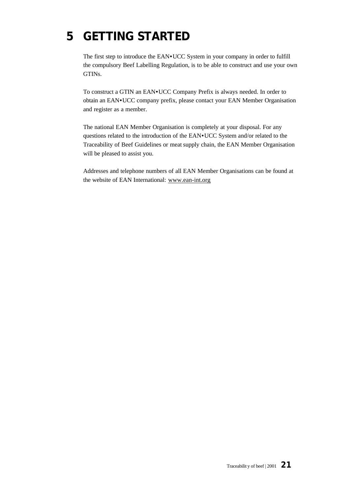# **5 GETTING STARTED**

The first step to introduce the EAN•UCC System in your company in order to fulfill the compulsory Beef Labelling Regulation, is to be able to construct and use your own GTINs.

To construct a GTIN an EAN•UCC Company Prefix is always needed. In order to obtain an EAN•UCC company prefix, please contact your EAN Member Organisation and register as a member.

The national EAN Member Organisation is completely at your disposal. For any questions related to the introduction of the EAN•UCC System and/or related to the Traceability of Beef Guidelines or meat supply chain, the EAN Member Organisation will be pleased to assist you.

Addresses and telephone numbers of all EAN Member Organisations can be found at the website of EAN International: www.ean-int.org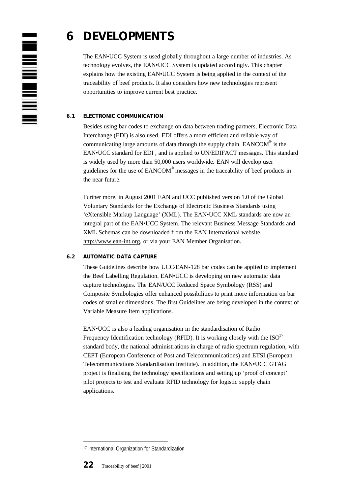

# **6 DEVELOPMENTS**

The EAN•UCC System is used globally throughout a large number of industries. As technology evolves, the EAN•UCC System is updated accordingly. This chapter explains how the existing EAN•UCC System is being applied in the context of the traceability of beef products. It also considers how new technologies represent opportunities to improve current best practice.

# **6.1 ELECTRONIC COMMUNICATION**

Besides using bar codes to exchange on data between trading partners, Electronic Data Interchange (EDI) is also used. EDI offers a more efficient and reliable way of communicating large amounts of data through the supply chain. EANCOM $^{\circledR}$  is the EAN•UCC standard for EDI , and is applied to UN/EDIFACT messages. This standard is widely used by more than 50,000 users worldwide. EAN will develop user guidelines for the use of EANCOM<sup>®</sup> messages in the traceability of beef products in the near future.

Further more, in August 2001 EAN and UCC published version 1.0 of the Global Voluntary Standards for the Exchange of Electronic Business Standards using 'eXtensible Markup Language' (XML). The EAN•UCC XML standards are now an integral part of the EAN•UCC System. The relevant Business Message Standards and XML Schemas can be downloaded from the EAN International website, http://www.ean-int.org, or via your EAN Member Organisation.

### **6.2 AUTOMATIC DATA CAPTURE**

These Guidelines describe how UCC/EAN-128 bar codes can be applied to implement the Beef Labelling Regulation. EAN•UCC is developing on new automatic data capture technologies. The EAN/UCC Reduced Space Symbology (RSS) and Composite Symbologies offer enhanced possibilities to print more information on bar codes of smaller dimensions. The first Guidelines are being developed in the context of Variable Measure Item applications.

EAN•UCC is also a leading organisation in the standardisation of Radio Frequency Identification technology (RFID). It is working closely with the  $ISO<sup>17</sup>$ standard body, the national administrations in charge of radio spectrum regulation, with CEPT (European Conference of Post and Telecommunications) and ETSI (European Telecommunications Standardisation Institute). In addition, the EAN•UCC GTAG project is finalising the technology specifications and setting up 'proof of concept' pilot projects to test and evaluate RFID technology for logistic supply chain applications.

<sup>17</sup> International Organization for Standardization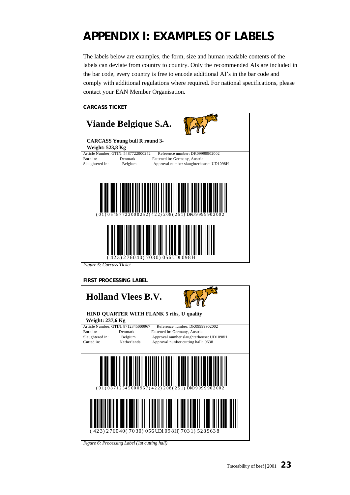# **APPENDIX I: EXAMPLES OF LABELS**

The labels below are examples, the form, size and human readable contents of the labels can deviate from country to country. Only the recommended AIs are included in the bar code, every country is free to encode additional AI's in the bar code and comply with additional regulations where required. For national specifications, please contact your EAN Member Organisation.

#### **CARCASS TICKET**

| Viande Belgique S.A.                                               |                    |                                                                                                            |  |
|--------------------------------------------------------------------|--------------------|------------------------------------------------------------------------------------------------------------|--|
| <b>CARCASS Young bull R round 3-</b><br><b>Weight: 523,8 Kg</b>    |                    |                                                                                                            |  |
| Article Number, GTIN: 5487722000252<br>Born in:<br>Slaughtered in: | Denmark<br>Belgium | Reference number: DK0999902002<br>Fattened in: Germany, Austria<br>Approval number slaughterhouse: UD1098H |  |
|                                                                    |                    | $(01)05487722000252(422)208(251)DK09999902$<br>423) 276040(7030) 056 UDI 098 H                             |  |

*Figure 5: Carcass Ticket*

#### **FIRST PROCESSING LABEL**

| <b>Holland Vlees B.V.</b><br>HIND QUARTER WITH FLANK 5 ribs, U quality |             |                                                |  |
|------------------------------------------------------------------------|-------------|------------------------------------------------|--|
| <b>Weight: 237,6 Kg</b>                                                |             |                                                |  |
| Article Number, GTIN: 8712345000967                                    |             | Reference number: DK09999902002                |  |
| Born in:                                                               | Denmark     | Fattened in: Germany, Austria                  |  |
| Slaughtered in:                                                        | Belgium     | Approval number slaughterhouse: UD1098H        |  |
| Cutted in:                                                             | Netherlands | Approval number cutting hall: 9638             |  |
|                                                                        |             |                                                |  |
|                                                                        |             | $(01)08712345000967(422)208(251)DK09999902002$ |  |
|                                                                        |             | (423) 276040(7030) 056 UD1 098H (7031) 5289638 |  |

*Figure 6: Processing Label (1st cutting hall)*